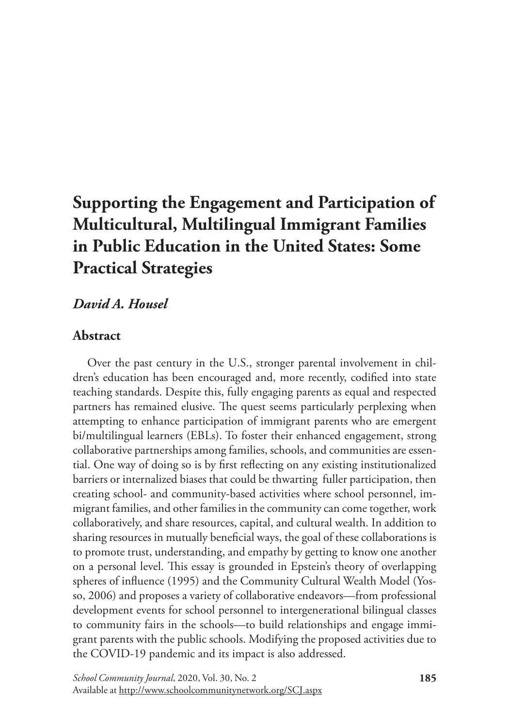# **Supporting the Engagement and Participation of Multicultural, Multilingual Immigrant Families in Public Education in the United States: Some Practical Strategies**

# *David A. Housel*

# **Abstract**

Over the past century in the U.S., stronger parental involvement in children's education has been encouraged and, more recently, codified into state teaching standards. Despite this, fully engaging parents as equal and respected partners has remained elusive. The quest seems particularly perplexing when attempting to enhance participation of immigrant parents who are emergent bi/multilingual learners (EBLs). To foster their enhanced engagement, strong collaborative partnerships among families, schools, and communities are essential. One way of doing so is by first reflecting on any existing institutionalized barriers or internalized biases that could be thwarting fuller participation, then creating school- and community-based activities where school personnel, immigrant families, and other families in the community can come together, work collaboratively, and share resources, capital, and cultural wealth. In addition to sharing resources in mutually beneficial ways, the goal of these collaborations is to promote trust, understanding, and empathy by getting to know one another on a personal level. This essay is grounded in Epstein's theory of overlapping spheres of influence (1995) and the Community Cultural Wealth Model (Yosso, 2006) and proposes a variety of collaborative endeavors—from professional development events for school personnel to intergenerational bilingual classes to community fairs in the schools—to build relationships and engage immigrant parents with the public schools. Modifying the proposed activities due to the COVID-19 pandemic and its impact is also addressed.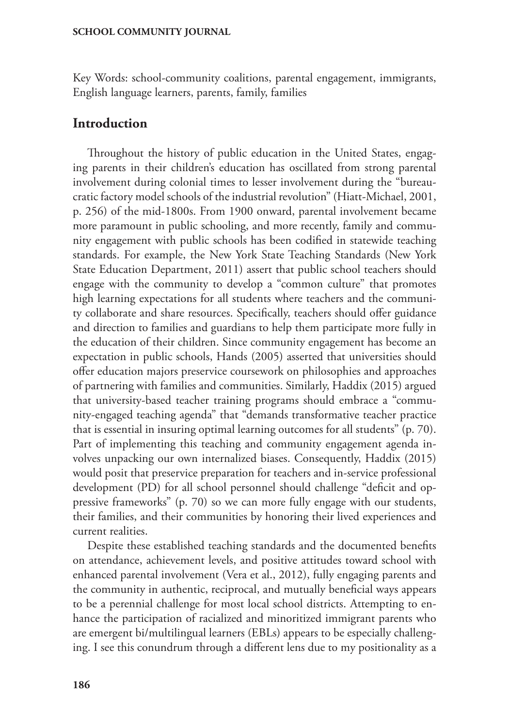Key Words: school-community coalitions, parental engagement, immigrants, English language learners, parents, family, families

### **Introduction**

Throughout the history of public education in the United States, engaging parents in their children's education has oscillated from strong parental involvement during colonial times to lesser involvement during the "bureaucratic factory model schools of the industrial revolution" (Hiatt-Michael, 2001, p. 256) of the mid-1800s. From 1900 onward, parental involvement became more paramount in public schooling, and more recently, family and community engagement with public schools has been codified in statewide teaching standards. For example, the New York State Teaching Standards (New York State Education Department, 2011) assert that public school teachers should engage with the community to develop a "common culture" that promotes high learning expectations for all students where teachers and the community collaborate and share resources. Specifically, teachers should offer guidance and direction to families and guardians to help them participate more fully in the education of their children. Since community engagement has become an expectation in public schools, Hands (2005) asserted that universities should offer education majors preservice coursework on philosophies and approaches of partnering with families and communities. Similarly, Haddix (2015) argued that university-based teacher training programs should embrace a "community-engaged teaching agenda" that "demands transformative teacher practice that is essential in insuring optimal learning outcomes for all students" (p. 70). Part of implementing this teaching and community engagement agenda involves unpacking our own internalized biases. Consequently, Haddix (2015) would posit that preservice preparation for teachers and in-service professional development (PD) for all school personnel should challenge "deficit and oppressive frameworks" (p. 70) so we can more fully engage with our students, their families, and their communities by honoring their lived experiences and current realities.

Despite these established teaching standards and the documented benefits on attendance, achievement levels, and positive attitudes toward school with enhanced parental involvement (Vera et al., 2012), fully engaging parents and the community in authentic, reciprocal, and mutually beneficial ways appears to be a perennial challenge for most local school districts. Attempting to enhance the participation of racialized and minoritized immigrant parents who are emergent bi/multilingual learners (EBLs) appears to be especially challenging. I see this conundrum through a different lens due to my positionality as a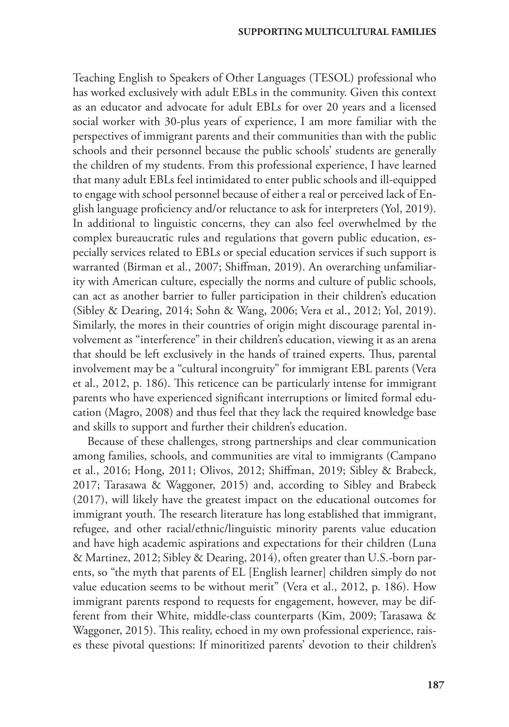Teaching English to Speakers of Other Languages (TESOL) professional who has worked exclusively with adult EBLs in the community. Given this context as an educator and advocate for adult EBLs for over 20 years and a licensed social worker with 30-plus years of experience, I am more familiar with the perspectives of immigrant parents and their communities than with the public schools and their personnel because the public schools' students are generally the children of my students. From this professional experience, I have learned that many adult EBLs feel intimidated to enter public schools and ill-equipped to engage with school personnel because of either a real or perceived lack of English language proficiency and/or reluctance to ask for interpreters (Yol, 2019). In additional to linguistic concerns, they can also feel overwhelmed by the complex bureaucratic rules and regulations that govern public education, especially services related to EBLs or special education services if such support is warranted (Birman et al., 2007; Shiffman, 2019). An overarching unfamiliarity with American culture, especially the norms and culture of public schools, can act as another barrier to fuller participation in their children's education (Sibley & Dearing, 2014; Sohn & Wang, 2006; Vera et al., 2012; Yol, 2019). Similarly, the mores in their countries of origin might discourage parental involvement as "interference" in their children's education, viewing it as an arena that should be left exclusively in the hands of trained experts. Thus, parental involvement may be a "cultural incongruity" for immigrant EBL parents (Vera et al., 2012, p. 186). This reticence can be particularly intense for immigrant parents who have experienced significant interruptions or limited formal education (Magro, 2008) and thus feel that they lack the required knowledge base and skills to support and further their children's education.

Because of these challenges, strong partnerships and clear communication among families, schools, and communities are vital to immigrants (Campano et al., 2016; Hong, 2011; Olivos, 2012; Shiffman, 2019; Sibley & Brabeck, 2017; Tarasawa & Waggoner, 2015) and, according to Sibley and Brabeck (2017), will likely have the greatest impact on the educational outcomes for immigrant youth. The research literature has long established that immigrant, refugee, and other racial/ethnic/linguistic minority parents value education and have high academic aspirations and expectations for their children (Luna & Martinez, 2012; Sibley & Dearing, 2014), often greater than U.S.-born parents, so "the myth that parents of EL [English learner] children simply do not value education seems to be without merit" (Vera et al., 2012, p. 186). How immigrant parents respond to requests for engagement, however, may be different from their White, middle-class counterparts (Kim, 2009; Tarasawa & Waggoner, 2015). This reality, echoed in my own professional experience, raises these pivotal questions: If minoritized parents' devotion to their children's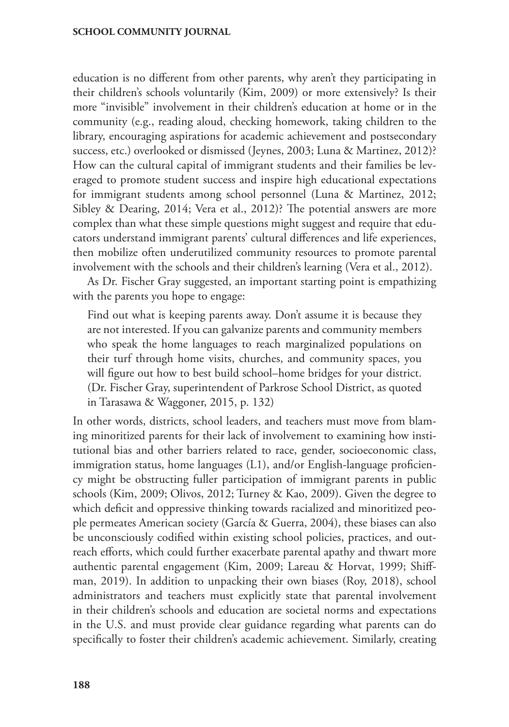education is no different from other parents, why aren't they participating in their children's schools voluntarily (Kim, 2009) or more extensively? Is their more "invisible" involvement in their children's education at home or in the community (e.g., reading aloud, checking homework, taking children to the library, encouraging aspirations for academic achievement and postsecondary success, etc.) overlooked or dismissed (Jeynes, 2003; Luna & Martinez, 2012)? How can the cultural capital of immigrant students and their families be leveraged to promote student success and inspire high educational expectations for immigrant students among school personnel (Luna & Martinez, 2012; Sibley & Dearing, 2014; Vera et al., 2012)? The potential answers are more complex than what these simple questions might suggest and require that educators understand immigrant parents' cultural differences and life experiences, then mobilize often underutilized community resources to promote parental involvement with the schools and their children's learning (Vera et al., 2012).

As Dr. Fischer Gray suggested, an important starting point is empathizing with the parents you hope to engage:

Find out what is keeping parents away. Don't assume it is because they are not interested. If you can galvanize parents and community members who speak the home languages to reach marginalized populations on their turf through home visits, churches, and community spaces, you will figure out how to best build school–home bridges for your district. (Dr. Fischer Gray, superintendent of Parkrose School District, as quoted in Tarasawa & Waggoner, 2015, p. 132)

In other words, districts, school leaders, and teachers must move from blaming minoritized parents for their lack of involvement to examining how institutional bias and other barriers related to race, gender, socioeconomic class, immigration status, home languages (L1), and/or English-language proficiency might be obstructing fuller participation of immigrant parents in public schools (Kim, 2009; Olivos, 2012; Turney & Kao, 2009). Given the degree to which deficit and oppressive thinking towards racialized and minoritized people permeates American society (García & Guerra, 2004), these biases can also be unconsciously codified within existing school policies, practices, and outreach efforts, which could further exacerbate parental apathy and thwart more authentic parental engagement (Kim, 2009; Lareau & Horvat, 1999; Shiffman, 2019). In addition to unpacking their own biases (Roy, 2018), school administrators and teachers must explicitly state that parental involvement in their children's schools and education are societal norms and expectations in the U.S. and must provide clear guidance regarding what parents can do specifically to foster their children's academic achievement. Similarly, creating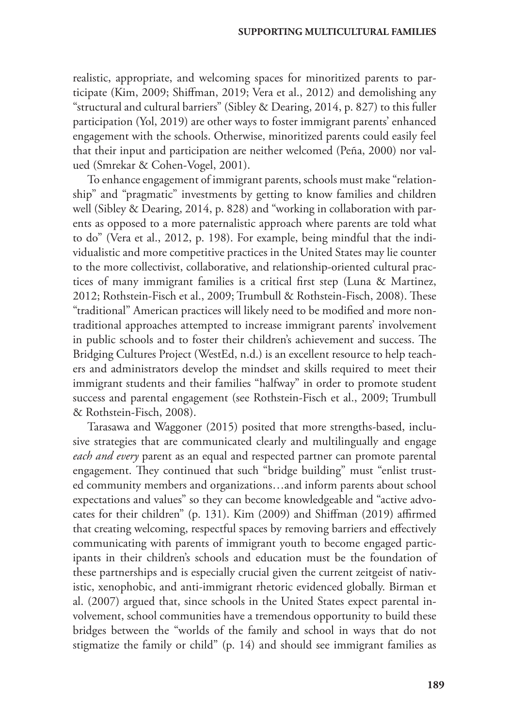realistic, appropriate, and welcoming spaces for minoritized parents to participate (Kim, 2009; Shiffman, 2019; Vera et al., 2012) and demolishing any "structural and cultural barriers" (Sibley & Dearing, 2014, p. 827) to this fuller participation (Yol, 2019) are other ways to foster immigrant parents' enhanced engagement with the schools. Otherwise, minoritized parents could easily feel that their input and participation are neither welcomed (Peña, 2000) nor valued (Smrekar & Cohen-Vogel, 2001).

To enhance engagement of immigrant parents, schools must make "relationship" and "pragmatic" investments by getting to know families and children well (Sibley & Dearing, 2014, p. 828) and "working in collaboration with parents as opposed to a more paternalistic approach where parents are told what to do" (Vera et al., 2012, p. 198). For example, being mindful that the individualistic and more competitive practices in the United States may lie counter to the more collectivist, collaborative, and relationship-oriented cultural practices of many immigrant families is a critical first step (Luna & Martinez, 2012; Rothstein-Fisch et al., 2009; Trumbull & Rothstein-Fisch, 2008). These "traditional" American practices will likely need to be modified and more nontraditional approaches attempted to increase immigrant parents' involvement in public schools and to foster their children's achievement and success. The Bridging Cultures Project (WestEd, n.d.) is an excellent resource to help teachers and administrators develop the mindset and skills required to meet their immigrant students and their families "halfway" in order to promote student success and parental engagement (see Rothstein-Fisch et al., 2009; Trumbull & Rothstein-Fisch, 2008).

Tarasawa and Waggoner (2015) posited that more strengths-based, inclusive strategies that are communicated clearly and multilingually and engage *each and every* parent as an equal and respected partner can promote parental engagement. They continued that such "bridge building" must "enlist trusted community members and organizations…and inform parents about school expectations and values" so they can become knowledgeable and "active advocates for their children" (p. 131). Kim (2009) and Shiffman (2019) affirmed that creating welcoming, respectful spaces by removing barriers and effectively communicating with parents of immigrant youth to become engaged participants in their children's schools and education must be the foundation of these partnerships and is especially crucial given the current zeitgeist of nativistic, xenophobic, and anti-immigrant rhetoric evidenced globally. Birman et al. (2007) argued that, since schools in the United States expect parental involvement, school communities have a tremendous opportunity to build these bridges between the "worlds of the family and school in ways that do not stigmatize the family or child" (p. 14) and should see immigrant families as

**189**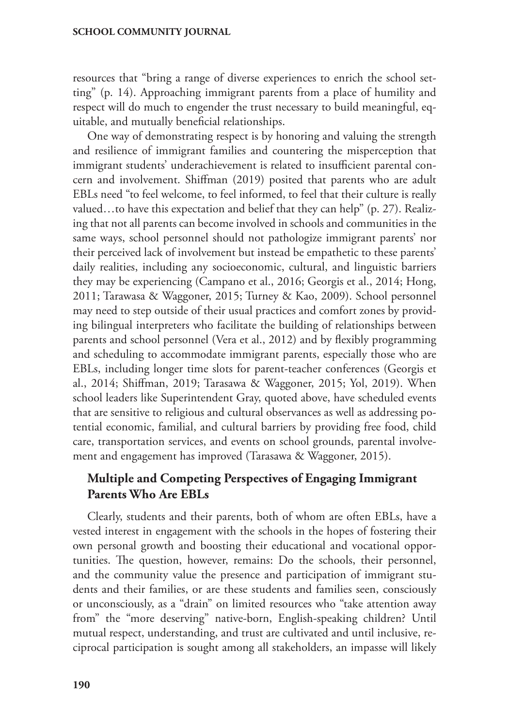resources that "bring a range of diverse experiences to enrich the school setting" (p. 14). Approaching immigrant parents from a place of humility and respect will do much to engender the trust necessary to build meaningful, equitable, and mutually beneficial relationships.

One way of demonstrating respect is by honoring and valuing the strength and resilience of immigrant families and countering the misperception that immigrant students' underachievement is related to insufficient parental concern and involvement. Shiffman (2019) posited that parents who are adult EBLs need "to feel welcome, to feel informed, to feel that their culture is really valued…to have this expectation and belief that they can help" (p. 27). Realizing that not all parents can become involved in schools and communities in the same ways, school personnel should not pathologize immigrant parents' nor their perceived lack of involvement but instead be empathetic to these parents' daily realities, including any socioeconomic, cultural, and linguistic barriers they may be experiencing (Campano et al., 2016; Georgis et al., 2014; Hong, 2011; Tarawasa & Waggoner, 2015; Turney & Kao, 2009). School personnel may need to step outside of their usual practices and comfort zones by providing bilingual interpreters who facilitate the building of relationships between parents and school personnel (Vera et al., 2012) and by flexibly programming and scheduling to accommodate immigrant parents, especially those who are EBLs, including longer time slots for parent-teacher conferences (Georgis et al., 2014; Shiffman, 2019; Tarasawa & Waggoner, 2015; Yol, 2019). When school leaders like Superintendent Gray, quoted above, have scheduled events that are sensitive to religious and cultural observances as well as addressing potential economic, familial, and cultural barriers by providing free food, child care, transportation services, and events on school grounds, parental involvement and engagement has improved (Tarasawa & Waggoner, 2015).

# **Multiple and Competing Perspectives of Engaging Immigrant Parents Who Are EBLs**

Clearly, students and their parents, both of whom are often EBLs, have a vested interest in engagement with the schools in the hopes of fostering their own personal growth and boosting their educational and vocational opportunities. The question, however, remains: Do the schools, their personnel, and the community value the presence and participation of immigrant students and their families, or are these students and families seen, consciously or unconsciously, as a "drain" on limited resources who "take attention away from" the "more deserving" native-born, English-speaking children? Until mutual respect, understanding, and trust are cultivated and until inclusive, reciprocal participation is sought among all stakeholders, an impasse will likely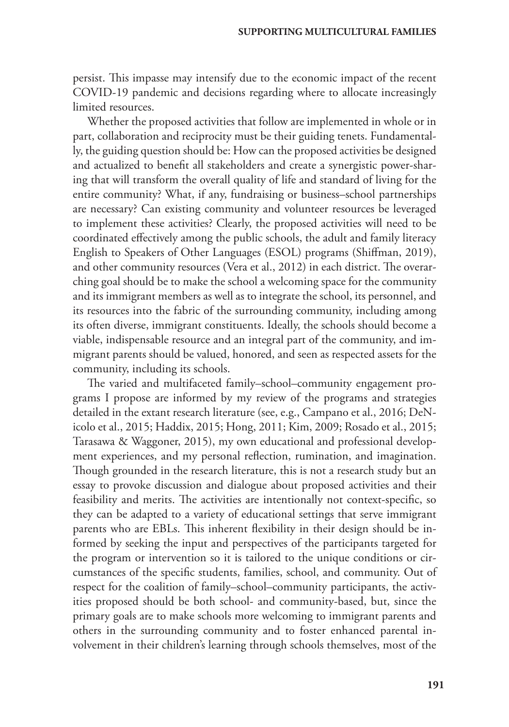persist. This impasse may intensify due to the economic impact of the recent COVID-19 pandemic and decisions regarding where to allocate increasingly limited resources.

Whether the proposed activities that follow are implemented in whole or in part, collaboration and reciprocity must be their guiding tenets. Fundamentally, the guiding question should be: How can the proposed activities be designed and actualized to benefit all stakeholders and create a synergistic power-sharing that will transform the overall quality of life and standard of living for the entire community? What, if any, fundraising or business–school partnerships are necessary? Can existing community and volunteer resources be leveraged to implement these activities? Clearly, the proposed activities will need to be coordinated effectively among the public schools, the adult and family literacy English to Speakers of Other Languages (ESOL) programs (Shiffman, 2019), and other community resources (Vera et al., 2012) in each district. The overarching goal should be to make the school a welcoming space for the community and its immigrant members as well as to integrate the school, its personnel, and its resources into the fabric of the surrounding community, including among its often diverse, immigrant constituents. Ideally, the schools should become a viable, indispensable resource and an integral part of the community, and immigrant parents should be valued, honored, and seen as respected assets for the community, including its schools.

The varied and multifaceted family–school–community engagement programs I propose are informed by my review of the programs and strategies detailed in the extant research literature (see, e.g., Campano et al., 2016; DeNicolo et al., 2015; Haddix, 2015; Hong, 2011; Kim, 2009; Rosado et al., 2015; Tarasawa & Waggoner, 2015), my own educational and professional development experiences, and my personal reflection, rumination, and imagination. Though grounded in the research literature, this is not a research study but an essay to provoke discussion and dialogue about proposed activities and their feasibility and merits. The activities are intentionally not context-specific, so they can be adapted to a variety of educational settings that serve immigrant parents who are EBLs. This inherent flexibility in their design should be informed by seeking the input and perspectives of the participants targeted for the program or intervention so it is tailored to the unique conditions or circumstances of the specific students, families, school, and community. Out of respect for the coalition of family–school–community participants, the activities proposed should be both school- and community-based, but, since the primary goals are to make schools more welcoming to immigrant parents and others in the surrounding community and to foster enhanced parental involvement in their children's learning through schools themselves, most of the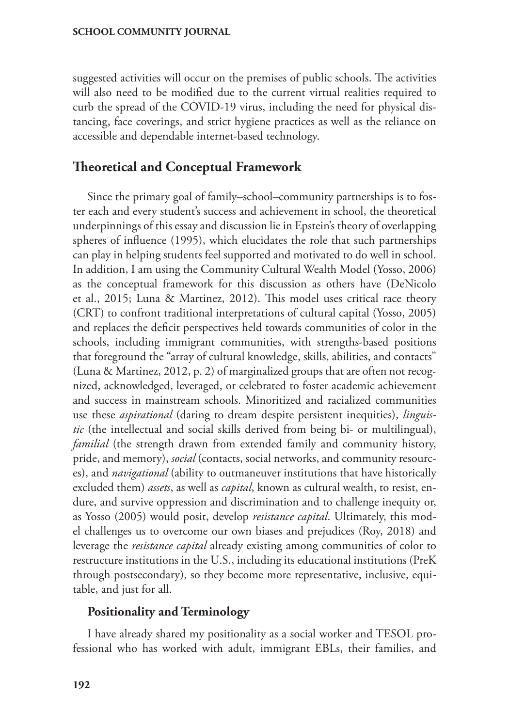suggested activities will occur on the premises of public schools. The activities will also need to be modified due to the current virtual realities required to curb the spread of the COVID-19 virus, including the need for physical distancing, face coverings, and strict hygiene practices as well as the reliance on accessible and dependable internet-based technology.

# **Theoretical and Conceptual Framework**

Since the primary goal of family–school–community partnerships is to foster each and every student's success and achievement in school, the theoretical underpinnings of this essay and discussion lie in Epstein's theory of overlapping spheres of influence (1995), which elucidates the role that such partnerships can play in helping students feel supported and motivated to do well in school. In addition, I am using the Community Cultural Wealth Model (Yosso, 2006) as the conceptual framework for this discussion as others have (DeNicolo et al., 2015; Luna & Martinez, 2012). This model uses critical race theory (CRT) to confront traditional interpretations of cultural capital (Yosso, 2005) and replaces the deficit perspectives held towards communities of color in the schools, including immigrant communities, with strengths-based positions that foreground the "array of cultural knowledge, skills, abilities, and contacts" (Luna & Martinez, 2012, p. 2) of marginalized groups that are often not recognized, acknowledged, leveraged, or celebrated to foster academic achievement and success in mainstream schools. Minoritized and racialized communities use these *aspirational* (daring to dream despite persistent inequities), *linguistic* (the intellectual and social skills derived from being bi- or multilingual), *familial* (the strength drawn from extended family and community history, pride, and memory), *social* (contacts, social networks, and community resources), and *navigational* (ability to outmaneuver institutions that have historically excluded them) *assets*, as well as *capital*, known as cultural wealth, to resist, endure, and survive oppression and discrimination and to challenge inequity or, as Yosso (2005) would posit, develop *resistance capital*. Ultimately, this model challenges us to overcome our own biases and prejudices (Roy, 2018) and leverage the *resistance capital* already existing among communities of color to restructure institutions in the U.S., including its educational institutions (PreK through postsecondary), so they become more representative, inclusive, equitable, and just for all.

### **Positionality and Terminology**

I have already shared my positionality as a social worker and TESOL professional who has worked with adult, immigrant EBLs, their families, and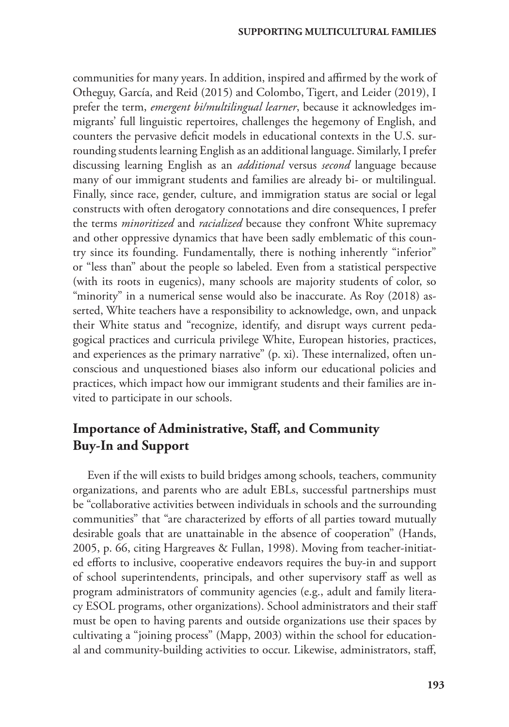communities for many years. In addition, inspired and affirmed by the work of Otheguy, García, and Reid (2015) and Colombo, Tigert, and Leider (2019), I prefer the term, *emergent bi/multilingual learner*, because it acknowledges immigrants' full linguistic repertoires, challenges the hegemony of English, and counters the pervasive deficit models in educational contexts in the U.S. surrounding students learning English as an additional language. Similarly, I prefer discussing learning English as an *additional* versus *second* language because many of our immigrant students and families are already bi- or multilingual. Finally, since race, gender, culture, and immigration status are social or legal constructs with often derogatory connotations and dire consequences, I prefer the terms *minoritized* and *racialized* because they confront White supremacy and other oppressive dynamics that have been sadly emblematic of this country since its founding. Fundamentally, there is nothing inherently "inferior" or "less than" about the people so labeled. Even from a statistical perspective (with its roots in eugenics), many schools are majority students of color, so "minority" in a numerical sense would also be inaccurate. As Roy (2018) asserted, White teachers have a responsibility to acknowledge, own, and unpack their White status and "recognize, identify, and disrupt ways current pedagogical practices and curricula privilege White, European histories, practices, and experiences as the primary narrative" (p. xi). These internalized, often unconscious and unquestioned biases also inform our educational policies and practices, which impact how our immigrant students and their families are invited to participate in our schools.

# **Importance of Administrative, Staff, and Community Buy-In and Support**

Even if the will exists to build bridges among schools, teachers, community organizations, and parents who are adult EBLs, successful partnerships must be "collaborative activities between individuals in schools and the surrounding communities" that "are characterized by efforts of all parties toward mutually desirable goals that are unattainable in the absence of cooperation" (Hands, 2005, p. 66, citing Hargreaves & Fullan, 1998). Moving from teacher-initiated efforts to inclusive, cooperative endeavors requires the buy-in and support of school superintendents, principals, and other supervisory staff as well as program administrators of community agencies (e.g., adult and family literacy ESOL programs, other organizations). School administrators and their staff must be open to having parents and outside organizations use their spaces by cultivating a "joining process" (Mapp, 2003) within the school for educational and community-building activities to occur. Likewise, administrators, staff,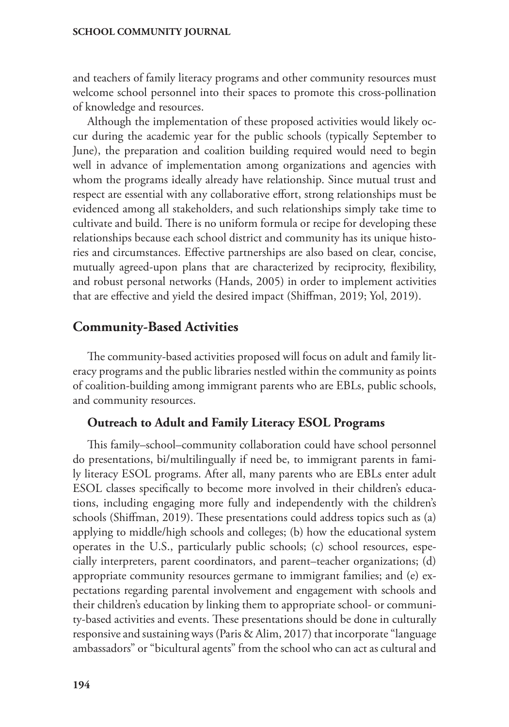and teachers of family literacy programs and other community resources must welcome school personnel into their spaces to promote this cross-pollination of knowledge and resources.

Although the implementation of these proposed activities would likely occur during the academic year for the public schools (typically September to June), the preparation and coalition building required would need to begin well in advance of implementation among organizations and agencies with whom the programs ideally already have relationship. Since mutual trust and respect are essential with any collaborative effort, strong relationships must be evidenced among all stakeholders, and such relationships simply take time to cultivate and build. There is no uniform formula or recipe for developing these relationships because each school district and community has its unique histories and circumstances. Effective partnerships are also based on clear, concise, mutually agreed-upon plans that are characterized by reciprocity, flexibility, and robust personal networks (Hands, 2005) in order to implement activities that are effective and yield the desired impact (Shiffman, 2019; Yol, 2019).

# **Community-Based Activities**

The community-based activities proposed will focus on adult and family literacy programs and the public libraries nestled within the community as points of coalition-building among immigrant parents who are EBLs, public schools, and community resources.

### **Outreach to Adult and Family Literacy ESOL Programs**

This family–school–community collaboration could have school personnel do presentations, bi/multilingually if need be, to immigrant parents in family literacy ESOL programs. After all, many parents who are EBLs enter adult ESOL classes specifically to become more involved in their children's educations, including engaging more fully and independently with the children's schools (Shiffman, 2019). These presentations could address topics such as (a) applying to middle/high schools and colleges; (b) how the educational system operates in the U.S., particularly public schools; (c) school resources, especially interpreters, parent coordinators, and parent–teacher organizations; (d) appropriate community resources germane to immigrant families; and (e) expectations regarding parental involvement and engagement with schools and their children's education by linking them to appropriate school- or community-based activities and events. These presentations should be done in culturally responsive and sustaining ways (Paris & Alim, 2017) that incorporate "language ambassadors" or "bicultural agents" from the school who can act as cultural and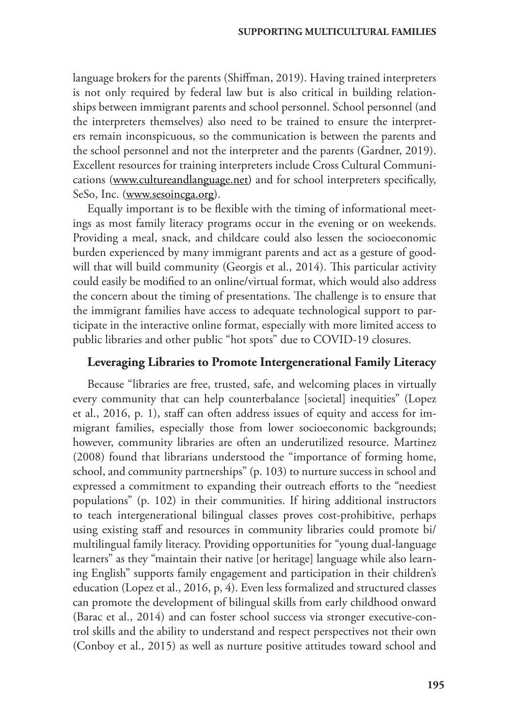language brokers for the parents (Shiffman, 2019). Having trained interpreters is not only required by federal law but is also critical in building relationships between immigrant parents and school personnel. School personnel (and the interpreters themselves) also need to be trained to ensure the interpreters remain inconspicuous, so the communication is between the parents and the school personnel and not the interpreter and the parents (Gardner, 2019). Excellent resources for training interpreters include Cross Cultural Communications ([www.cultureandlanguage.net\)](http://www.cultureandlanguage.net) and for school interpreters specifically, SeSo, Inc. ([www.sesoincga.org\)](http://www.sesoincga.org).

Equally important is to be flexible with the timing of informational meetings as most family literacy programs occur in the evening or on weekends. Providing a meal, snack, and childcare could also lessen the socioeconomic burden experienced by many immigrant parents and act as a gesture of goodwill that will build community (Georgis et al., 2014). This particular activity could easily be modified to an online/virtual format, which would also address the concern about the timing of presentations. The challenge is to ensure that the immigrant families have access to adequate technological support to participate in the interactive online format, especially with more limited access to public libraries and other public "hot spots" due to COVID-19 closures.

#### **Leveraging Libraries to Promote Intergenerational Family Literacy**

Because "libraries are free, trusted, safe, and welcoming places in virtually every community that can help counterbalance [societal] inequities" (Lopez et al., 2016, p. 1), staff can often address issues of equity and access for immigrant families, especially those from lower socioeconomic backgrounds; however, community libraries are often an underutilized resource. Martinez (2008) found that librarians understood the "importance of forming home, school, and community partnerships" (p. 103) to nurture success in school and expressed a commitment to expanding their outreach efforts to the "neediest populations" (p. 102) in their communities. If hiring additional instructors to teach intergenerational bilingual classes proves cost-prohibitive, perhaps using existing staff and resources in community libraries could promote bi/ multilingual family literacy. Providing opportunities for "young dual-language learners" as they "maintain their native [or heritage] language while also learning English" supports family engagement and participation in their children's education (Lopez et al., 2016, p, 4). Even less formalized and structured classes can promote the development of bilingual skills from early childhood onward (Barac et al., 2014) and can foster school success via stronger executive-control skills and the ability to understand and respect perspectives not their own (Conboy et al., 2015) as well as nurture positive attitudes toward school and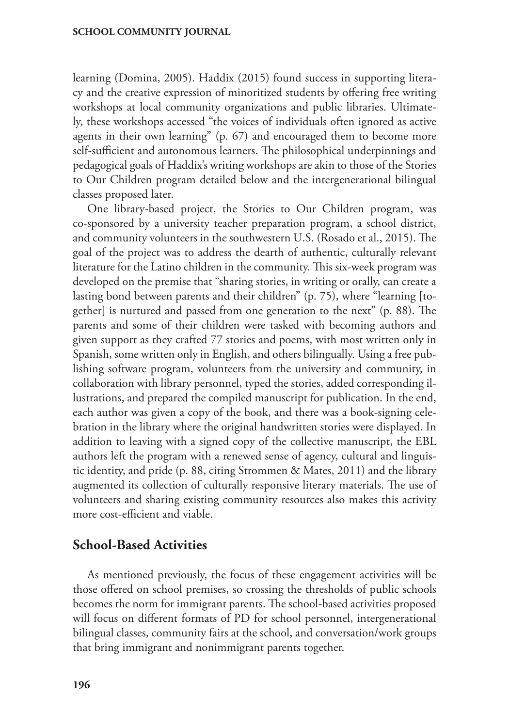learning (Domina, 2005). Haddix (2015) found success in supporting literacy and the creative expression of minoritized students by offering free writing workshops at local community organizations and public libraries. Ultimately, these workshops accessed "the voices of individuals often ignored as active agents in their own learning" (p. 67) and encouraged them to become more self-sufficient and autonomous learners. The philosophical underpinnings and pedagogical goals of Haddix's writing workshops are akin to those of the Stories to Our Children program detailed below and the intergenerational bilingual classes proposed later.

One library-based project, the Stories to Our Children program, was co-sponsored by a university teacher preparation program, a school district, and community volunteers in the southwestern U.S. (Rosado et al., 2015). The goal of the project was to address the dearth of authentic, culturally relevant literature for the Latino children in the community. This six-week program was developed on the premise that "sharing stories, in writing or orally, can create a lasting bond between parents and their children" (p. 75), where "learning [together] is nurtured and passed from one generation to the next" (p. 88). The parents and some of their children were tasked with becoming authors and given support as they crafted 77 stories and poems, with most written only in Spanish, some written only in English, and others bilingually. Using a free publishing software program, volunteers from the university and community, in collaboration with library personnel, typed the stories, added corresponding illustrations, and prepared the compiled manuscript for publication. In the end, each author was given a copy of the book, and there was a book-signing celebration in the library where the original handwritten stories were displayed. In addition to leaving with a signed copy of the collective manuscript, the EBL authors left the program with a renewed sense of agency, cultural and linguistic identity, and pride (p. 88, citing Strommen & Mates, 2011) and the library augmented its collection of culturally responsive literary materials. The use of volunteers and sharing existing community resources also makes this activity more cost-efficient and viable.

### **School-Based Activities**

As mentioned previously, the focus of these engagement activities will be those offered on school premises, so crossing the thresholds of public schools becomes the norm for immigrant parents. The school-based activities proposed will focus on different formats of PD for school personnel, intergenerational bilingual classes, community fairs at the school, and conversation/work groups that bring immigrant and nonimmigrant parents together.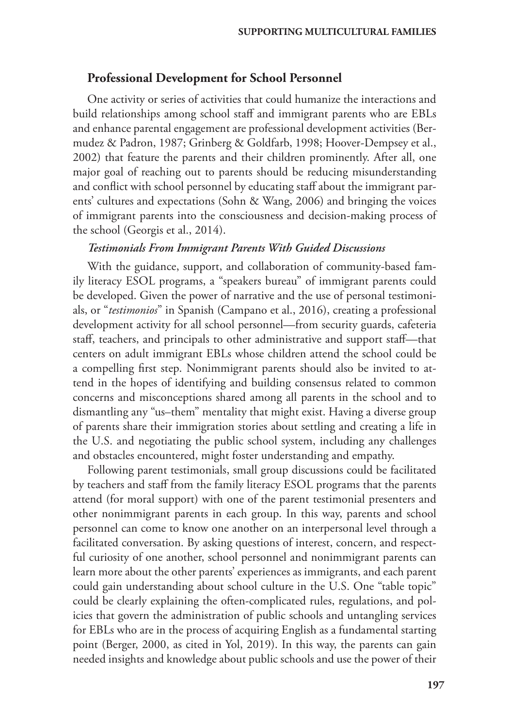### **Professional Development for School Personnel**

One activity or series of activities that could humanize the interactions and build relationships among school staff and immigrant parents who are EBLs and enhance parental engagement are professional development activities (Bermudez & Padron, 1987; Grinberg & Goldfarb, 1998; Hoover-Dempsey et al., 2002) that feature the parents and their children prominently. After all, one major goal of reaching out to parents should be reducing misunderstanding and conflict with school personnel by educating staff about the immigrant parents' cultures and expectations (Sohn & Wang, 2006) and bringing the voices of immigrant parents into the consciousness and decision-making process of the school (Georgis et al., 2014).

#### *Testimonials From Immigrant Parents With Guided Discussions*

With the guidance, support, and collaboration of community-based family literacy ESOL programs, a "speakers bureau" of immigrant parents could be developed. Given the power of narrative and the use of personal testimonials, or "*testimonios*" in Spanish (Campano et al., 2016), creating a professional development activity for all school personnel—from security guards, cafeteria staff, teachers, and principals to other administrative and support staff—that centers on adult immigrant EBLs whose children attend the school could be a compelling first step. Nonimmigrant parents should also be invited to attend in the hopes of identifying and building consensus related to common concerns and misconceptions shared among all parents in the school and to dismantling any "us–them" mentality that might exist. Having a diverse group of parents share their immigration stories about settling and creating a life in the U.S. and negotiating the public school system, including any challenges and obstacles encountered, might foster understanding and empathy.

Following parent testimonials, small group discussions could be facilitated by teachers and staff from the family literacy ESOL programs that the parents attend (for moral support) with one of the parent testimonial presenters and other nonimmigrant parents in each group. In this way, parents and school personnel can come to know one another on an interpersonal level through a facilitated conversation. By asking questions of interest, concern, and respectful curiosity of one another, school personnel and nonimmigrant parents can learn more about the other parents' experiences as immigrants, and each parent could gain understanding about school culture in the U.S. One "table topic" could be clearly explaining the often-complicated rules, regulations, and policies that govern the administration of public schools and untangling services for EBLs who are in the process of acquiring English as a fundamental starting point (Berger, 2000, as cited in Yol, 2019). In this way, the parents can gain needed insights and knowledge about public schools and use the power of their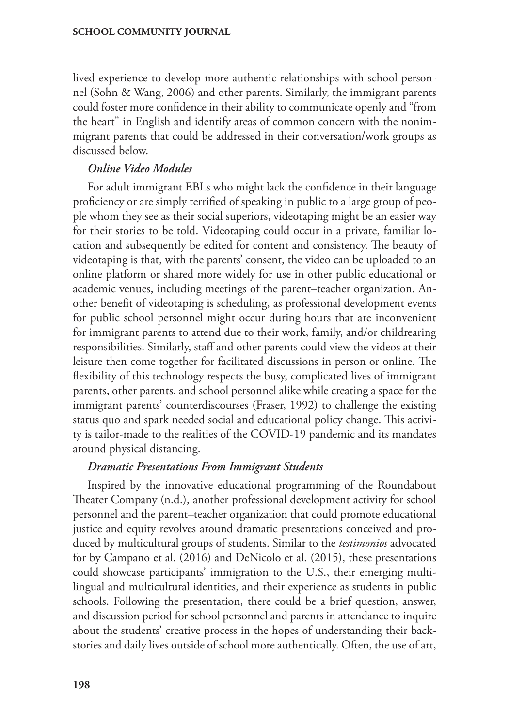lived experience to develop more authentic relationships with school personnel (Sohn & Wang, 2006) and other parents. Similarly, the immigrant parents could foster more confidence in their ability to communicate openly and "from the heart" in English and identify areas of common concern with the nonimmigrant parents that could be addressed in their conversation/work groups as discussed below.

### *Online Video Modules*

For adult immigrant EBLs who might lack the confidence in their language proficiency or are simply terrified of speaking in public to a large group of people whom they see as their social superiors, videotaping might be an easier way for their stories to be told. Videotaping could occur in a private, familiar location and subsequently be edited for content and consistency. The beauty of videotaping is that, with the parents' consent, the video can be uploaded to an online platform or shared more widely for use in other public educational or academic venues, including meetings of the parent–teacher organization. Another benefit of videotaping is scheduling, as professional development events for public school personnel might occur during hours that are inconvenient for immigrant parents to attend due to their work, family, and/or childrearing responsibilities. Similarly, staff and other parents could view the videos at their leisure then come together for facilitated discussions in person or online. The flexibility of this technology respects the busy, complicated lives of immigrant parents, other parents, and school personnel alike while creating a space for the immigrant parents' counterdiscourses (Fraser, 1992) to challenge the existing status quo and spark needed social and educational policy change. This activity is tailor-made to the realities of the COVID-19 pandemic and its mandates around physical distancing.

### *Dramatic Presentations From Immigrant Students*

Inspired by the innovative educational programming of the Roundabout Theater Company (n.d.), another professional development activity for school personnel and the parent–teacher organization that could promote educational justice and equity revolves around dramatic presentations conceived and produced by multicultural groups of students. Similar to the *testimonios* advocated for by Campano et al. (2016) and DeNicolo et al. (2015), these presentations could showcase participants' immigration to the U.S., their emerging multilingual and multicultural identities, and their experience as students in public schools. Following the presentation, there could be a brief question, answer, and discussion period for school personnel and parents in attendance to inquire about the students' creative process in the hopes of understanding their backstories and daily lives outside of school more authentically. Often, the use of art,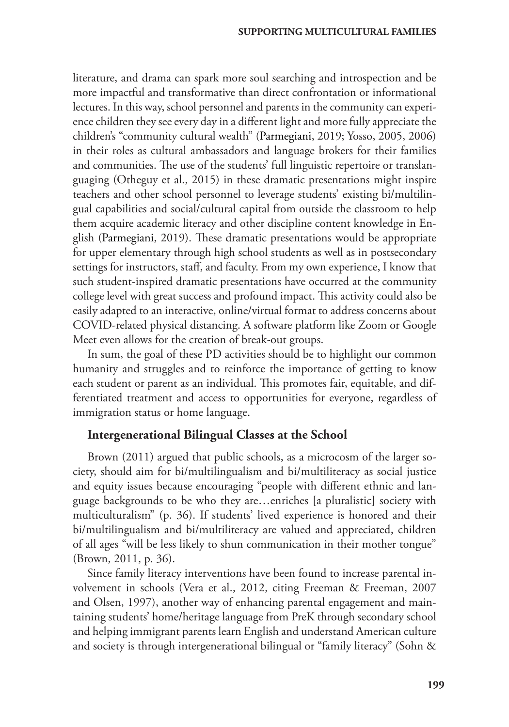literature, and drama can spark more soul searching and introspection and be more impactful and transformative than direct confrontation or informational lectures. In this way, school personnel and parents in the community can experience children they see every day in a different light and more fully appreciate the children's "community cultural wealth" (Parmegiani, 2019; Yosso, 2005, 2006) in their roles as cultural ambassadors and language brokers for their families and communities. The use of the students' full linguistic repertoire or translanguaging (Otheguy et al., 2015) in these dramatic presentations might inspire teachers and other school personnel to leverage students' existing bi/multilingual capabilities and social/cultural capital from outside the classroom to help them acquire academic literacy and other discipline content knowledge in English (Parmegiani, 2019). These dramatic presentations would be appropriate for upper elementary through high school students as well as in postsecondary settings for instructors, staff, and faculty. From my own experience, I know that such student-inspired dramatic presentations have occurred at the community college level with great success and profound impact. This activity could also be easily adapted to an interactive, online/virtual format to address concerns about COVID-related physical distancing. A software platform like Zoom or Google Meet even allows for the creation of break-out groups.

In sum, the goal of these PD activities should be to highlight our common humanity and struggles and to reinforce the importance of getting to know each student or parent as an individual. This promotes fair, equitable, and differentiated treatment and access to opportunities for everyone, regardless of immigration status or home language.

### **Intergenerational Bilingual Classes at the School**

Brown (2011) argued that public schools, as a microcosm of the larger society, should aim for bi/multilingualism and bi/multiliteracy as social justice and equity issues because encouraging "people with different ethnic and language backgrounds to be who they are…enriches [a pluralistic] society with multiculturalism" (p. 36). If students' lived experience is honored and their bi/multilingualism and bi/multiliteracy are valued and appreciated, children of all ages "will be less likely to shun communication in their mother tongue" (Brown, 2011, p. 36).

Since family literacy interventions have been found to increase parental involvement in schools (Vera et al., 2012, citing Freeman & Freeman, 2007 and Olsen, 1997), another way of enhancing parental engagement and maintaining students' home/heritage language from PreK through secondary school and helping immigrant parents learn English and understand American culture and society is through intergenerational bilingual or "family literacy" (Sohn &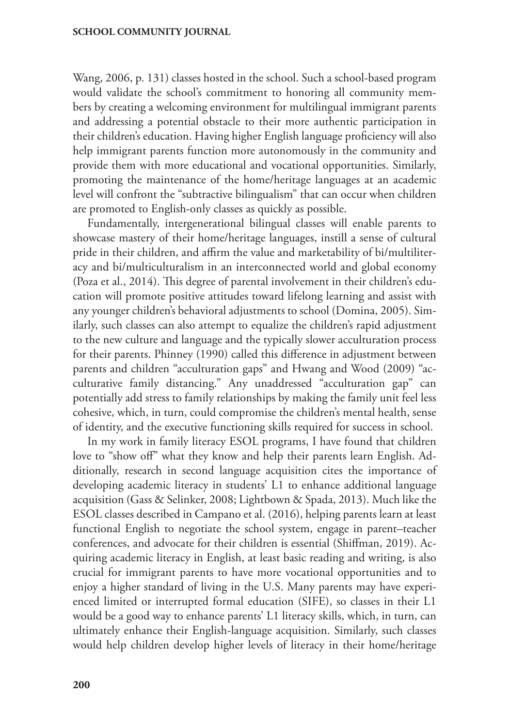Wang, 2006, p. 131) classes hosted in the school. Such a school-based program would validate the school's commitment to honoring all community members by creating a welcoming environment for multilingual immigrant parents and addressing a potential obstacle to their more authentic participation in their children's education. Having higher English language proficiency will also help immigrant parents function more autonomously in the community and provide them with more educational and vocational opportunities. Similarly, promoting the maintenance of the home/heritage languages at an academic level will confront the "subtractive bilingualism" that can occur when children are promoted to English-only classes as quickly as possible.

Fundamentally, intergenerational bilingual classes will enable parents to showcase mastery of their home/heritage languages, instill a sense of cultural pride in their children, and affirm the value and marketability of bi/multiliteracy and bi/multiculturalism in an interconnected world and global economy (Poza et al., 2014). This degree of parental involvement in their children's education will promote positive attitudes toward lifelong learning and assist with any younger children's behavioral adjustments to school (Domina, 2005). Similarly, such classes can also attempt to equalize the children's rapid adjustment to the new culture and language and the typically slower acculturation process for their parents. Phinney (1990) called this difference in adjustment between parents and children "acculturation gaps" and Hwang and Wood (2009) "acculturative family distancing." Any unaddressed "acculturation gap" can potentially add stress to family relationships by making the family unit feel less cohesive, which, in turn, could compromise the children's mental health, sense of identity, and the executive functioning skills required for success in school.

In my work in family literacy ESOL programs, I have found that children love to "show off" what they know and help their parents learn English. Additionally, research in second language acquisition cites the importance of developing academic literacy in students' L1 to enhance additional language acquisition (Gass & Selinker, 2008; Lightbown & Spada, 2013). Much like the ESOL classes described in Campano et al. (2016), helping parents learn at least functional English to negotiate the school system, engage in parent–teacher conferences, and advocate for their children is essential (Shiffman, 2019). Acquiring academic literacy in English, at least basic reading and writing, is also crucial for immigrant parents to have more vocational opportunities and to enjoy a higher standard of living in the U.S. Many parents may have experienced limited or interrupted formal education (SIFE), so classes in their L1 would be a good way to enhance parents' L1 literacy skills, which, in turn, can ultimately enhance their English-language acquisition. Similarly, such classes would help children develop higher levels of literacy in their home/heritage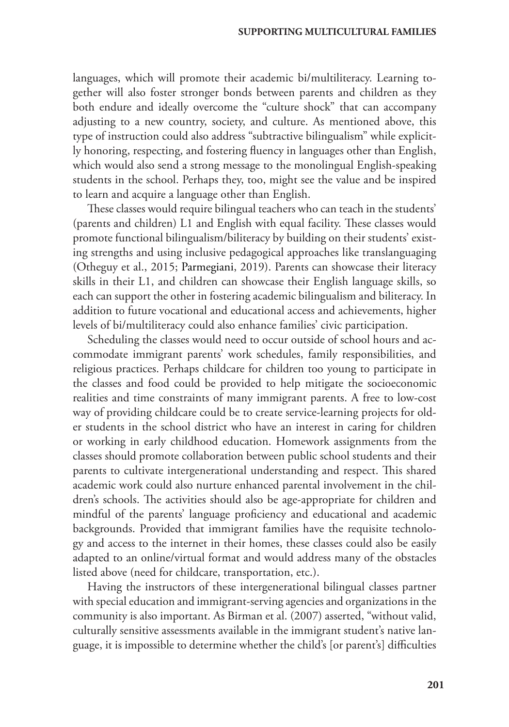languages, which will promote their academic bi/multiliteracy. Learning together will also foster stronger bonds between parents and children as they both endure and ideally overcome the "culture shock" that can accompany adjusting to a new country, society, and culture. As mentioned above, this type of instruction could also address "subtractive bilingualism" while explicitly honoring, respecting, and fostering fluency in languages other than English, which would also send a strong message to the monolingual English-speaking students in the school. Perhaps they, too, might see the value and be inspired to learn and acquire a language other than English.

These classes would require bilingual teachers who can teach in the students' (parents and children) L1 and English with equal facility. These classes would promote functional bilingualism/biliteracy by building on their students' existing strengths and using inclusive pedagogical approaches like translanguaging (Otheguy et al., 2015; Parmegiani, 2019). Parents can showcase their literacy skills in their L1, and children can showcase their English language skills, so each can support the other in fostering academic bilingualism and biliteracy. In addition to future vocational and educational access and achievements, higher levels of bi/multiliteracy could also enhance families' civic participation.

Scheduling the classes would need to occur outside of school hours and accommodate immigrant parents' work schedules, family responsibilities, and religious practices. Perhaps childcare for children too young to participate in the classes and food could be provided to help mitigate the socioeconomic realities and time constraints of many immigrant parents. A free to low-cost way of providing childcare could be to create service-learning projects for older students in the school district who have an interest in caring for children or working in early childhood education. Homework assignments from the classes should promote collaboration between public school students and their parents to cultivate intergenerational understanding and respect. This shared academic work could also nurture enhanced parental involvement in the children's schools. The activities should also be age-appropriate for children and mindful of the parents' language proficiency and educational and academic backgrounds. Provided that immigrant families have the requisite technology and access to the internet in their homes, these classes could also be easily adapted to an online/virtual format and would address many of the obstacles listed above (need for childcare, transportation, etc.).

Having the instructors of these intergenerational bilingual classes partner with special education and immigrant-serving agencies and organizations in the community is also important. As Birman et al. (2007) asserted, "without valid, culturally sensitive assessments available in the immigrant student's native language, it is impossible to determine whether the child's [or parent's] difficulties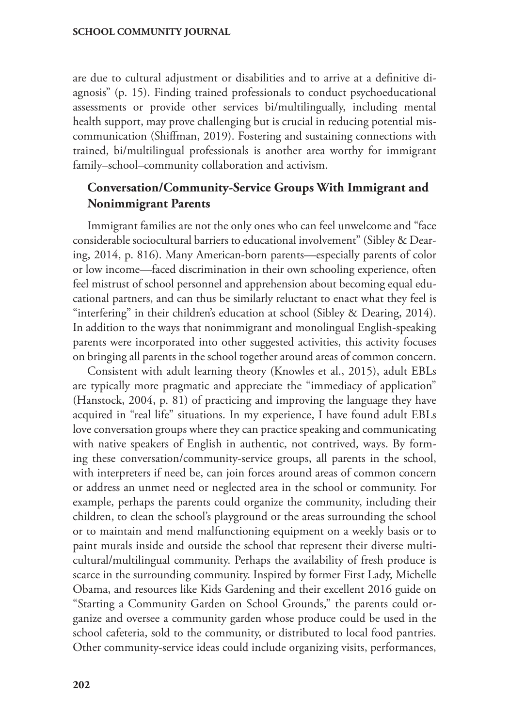are due to cultural adjustment or disabilities and to arrive at a definitive diagnosis" (p. 15). Finding trained professionals to conduct psychoeducational assessments or provide other services bi/multilingually, including mental health support, may prove challenging but is crucial in reducing potential miscommunication (Shiffman, 2019). Fostering and sustaining connections with trained, bi/multilingual professionals is another area worthy for immigrant family–school–community collaboration and activism.

# **Conversation/Community-Service Groups With Immigrant and Nonimmigrant Parents**

Immigrant families are not the only ones who can feel unwelcome and "face considerable sociocultural barriers to educational involvement" (Sibley & Dearing, 2014, p. 816). Many American-born parents—especially parents of color or low income—faced discrimination in their own schooling experience, often feel mistrust of school personnel and apprehension about becoming equal educational partners, and can thus be similarly reluctant to enact what they feel is "interfering" in their children's education at school (Sibley & Dearing, 2014). In addition to the ways that nonimmigrant and monolingual English-speaking parents were incorporated into other suggested activities, this activity focuses on bringing all parents in the school together around areas of common concern.

Consistent with adult learning theory (Knowles et al., 2015), adult EBLs are typically more pragmatic and appreciate the "immediacy of application" (Hanstock, 2004, p. 81) of practicing and improving the language they have acquired in "real life" situations. In my experience, I have found adult EBLs love conversation groups where they can practice speaking and communicating with native speakers of English in authentic, not contrived, ways. By forming these conversation/community-service groups, all parents in the school, with interpreters if need be, can join forces around areas of common concern or address an unmet need or neglected area in the school or community. For example, perhaps the parents could organize the community, including their children, to clean the school's playground or the areas surrounding the school or to maintain and mend malfunctioning equipment on a weekly basis or to paint murals inside and outside the school that represent their diverse multicultural/multilingual community. Perhaps the availability of fresh produce is scarce in the surrounding community. Inspired by former First Lady, Michelle Obama, and resources like Kids Gardening and their excellent 2016 guide on "Starting a Community Garden on School Grounds," the parents could organize and oversee a community garden whose produce could be used in the school cafeteria, sold to the community, or distributed to local food pantries. Other community-service ideas could include organizing visits, performances,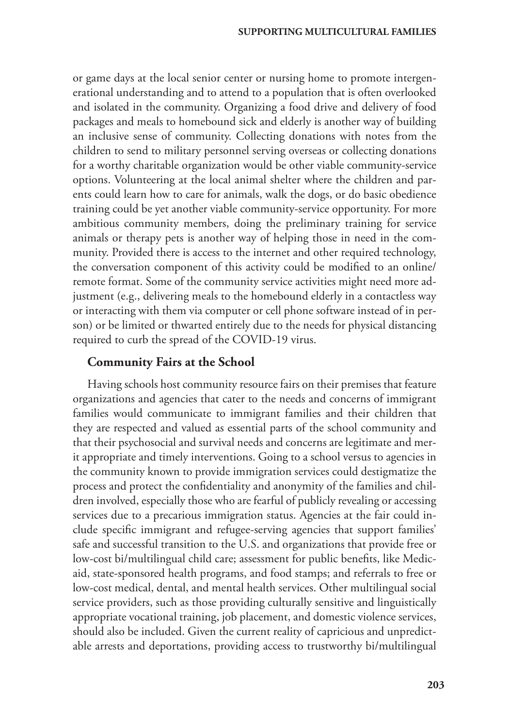or game days at the local senior center or nursing home to promote intergenerational understanding and to attend to a population that is often overlooked and isolated in the community. Organizing a food drive and delivery of food packages and meals to homebound sick and elderly is another way of building an inclusive sense of community. Collecting donations with notes from the children to send to military personnel serving overseas or collecting donations for a worthy charitable organization would be other viable community-service options. Volunteering at the local animal shelter where the children and parents could learn how to care for animals, walk the dogs, or do basic obedience training could be yet another viable community-service opportunity. For more ambitious community members, doing the preliminary training for service animals or therapy pets is another way of helping those in need in the community. Provided there is access to the internet and other required technology, the conversation component of this activity could be modified to an online/ remote format. Some of the community service activities might need more adjustment (e.g., delivering meals to the homebound elderly in a contactless way or interacting with them via computer or cell phone software instead of in person) or be limited or thwarted entirely due to the needs for physical distancing required to curb the spread of the COVID-19 virus.

#### **Community Fairs at the School**

Having schools host community resource fairs on their premises that feature organizations and agencies that cater to the needs and concerns of immigrant families would communicate to immigrant families and their children that they are respected and valued as essential parts of the school community and that their psychosocial and survival needs and concerns are legitimate and merit appropriate and timely interventions. Going to a school versus to agencies in the community known to provide immigration services could destigmatize the process and protect the confidentiality and anonymity of the families and children involved, especially those who are fearful of publicly revealing or accessing services due to a precarious immigration status. Agencies at the fair could include specific immigrant and refugee-serving agencies that support families' safe and successful transition to the U.S. and organizations that provide free or low-cost bi/multilingual child care; assessment for public benefits, like Medicaid, state-sponsored health programs, and food stamps; and referrals to free or low-cost medical, dental, and mental health services. Other multilingual social service providers, such as those providing culturally sensitive and linguistically appropriate vocational training, job placement, and domestic violence services, should also be included. Given the current reality of capricious and unpredictable arrests and deportations, providing access to trustworthy bi/multilingual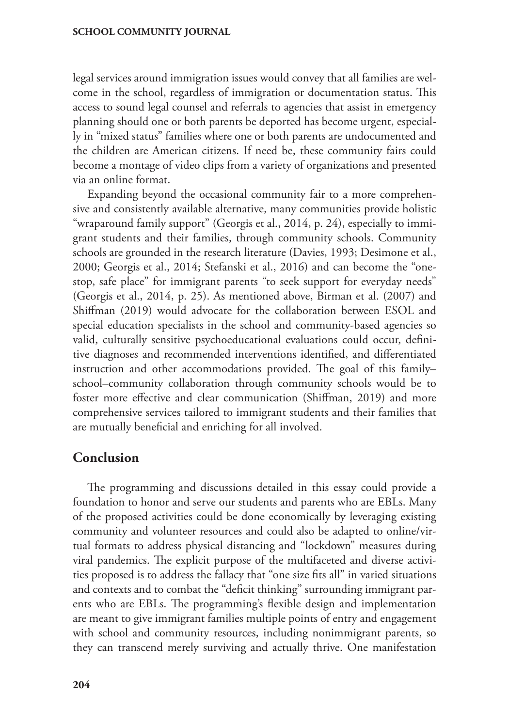legal services around immigration issues would convey that all families are welcome in the school, regardless of immigration or documentation status. This access to sound legal counsel and referrals to agencies that assist in emergency planning should one or both parents be deported has become urgent, especially in "mixed status" families where one or both parents are undocumented and the children are American citizens. If need be, these community fairs could become a montage of video clips from a variety of organizations and presented via an online format.

Expanding beyond the occasional community fair to a more comprehensive and consistently available alternative, many communities provide holistic "wraparound family support" (Georgis et al., 2014, p. 24), especially to immigrant students and their families, through community schools. Community schools are grounded in the research literature (Davies, 1993; Desimone et al., 2000; Georgis et al., 2014; Stefanski et al., 2016) and can become the "onestop, safe place" for immigrant parents "to seek support for everyday needs" (Georgis et al., 2014, p. 25). As mentioned above, Birman et al. (2007) and Shiffman (2019) would advocate for the collaboration between ESOL and special education specialists in the school and community-based agencies so valid, culturally sensitive psychoeducational evaluations could occur, definitive diagnoses and recommended interventions identified, and differentiated instruction and other accommodations provided. The goal of this family– school–community collaboration through community schools would be to foster more effective and clear communication (Shiffman, 2019) and more comprehensive services tailored to immigrant students and their families that are mutually beneficial and enriching for all involved.

### **Conclusion**

The programming and discussions detailed in this essay could provide a foundation to honor and serve our students and parents who are EBLs. Many of the proposed activities could be done economically by leveraging existing community and volunteer resources and could also be adapted to online/virtual formats to address physical distancing and "lockdown" measures during viral pandemics. The explicit purpose of the multifaceted and diverse activities proposed is to address the fallacy that "one size fits all" in varied situations and contexts and to combat the "deficit thinking" surrounding immigrant parents who are EBLs. The programming's flexible design and implementation are meant to give immigrant families multiple points of entry and engagement with school and community resources, including nonimmigrant parents, so they can transcend merely surviving and actually thrive. One manifestation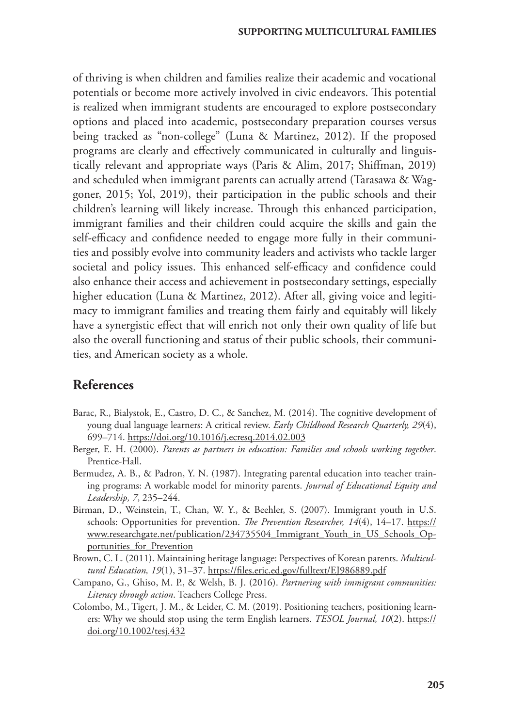of thriving is when children and families realize their academic and vocational potentials or become more actively involved in civic endeavors. This potential is realized when immigrant students are encouraged to explore postsecondary options and placed into academic, postsecondary preparation courses versus being tracked as "non-college" (Luna & Martinez, 2012). If the proposed programs are clearly and effectively communicated in culturally and linguistically relevant and appropriate ways (Paris & Alim, 2017; Shiffman, 2019) and scheduled when immigrant parents can actually attend (Tarasawa & Waggoner, 2015; Yol, 2019), their participation in the public schools and their children's learning will likely increase. Through this enhanced participation, immigrant families and their children could acquire the skills and gain the self-efficacy and confidence needed to engage more fully in their communities and possibly evolve into community leaders and activists who tackle larger societal and policy issues. This enhanced self-efficacy and confidence could also enhance their access and achievement in postsecondary settings, especially higher education (Luna & Martinez, 2012). After all, giving voice and legitimacy to immigrant families and treating them fairly and equitably will likely have a synergistic effect that will enrich not only their own quality of life but also the overall functioning and status of their public schools, their communities, and American society as a whole.

# **References**

- Barac, R., Bialystok, E., Castro, D. C., & Sanchez, M. (2014). The cognitive development of young dual language learners: A critical review. *Early Childhood Research Quarterly, 29*(4), 699–714.<https://doi.org/10.1016/j.ecresq.2014.02.003>
- Berger, E. H. (2000). *Parents as partners in education: Families and schools working together*. Prentice-Hall.
- Bermudez, A. B., & Padron, Y. N. (1987). Integrating parental education into teacher training programs: A workable model for minority parents. *Journal of Educational Equity and Leadership, 7*, 235–244.
- Birman, D., Weinstein, T., Chan, W. Y., & Beehler, S. (2007). Immigrant youth in U.S. schools: Opportunities for prevention. *The Prevention Researcher, 14*(4), 14–17. [https://](https://www.researchgate.net/publication/234735504_Immigrant_Youth_in_US_Schools_Opportunities_for_Prevention) [www.researchgate.net/publication/234735504\\_Immigrant\\_Youth\\_in\\_US\\_Schools\\_Op](https://www.researchgate.net/publication/234735504_Immigrant_Youth_in_US_Schools_Opportunities_for_Prevention)[portunities\\_for\\_Prevention](https://www.researchgate.net/publication/234735504_Immigrant_Youth_in_US_Schools_Opportunities_for_Prevention)
- Brown, C. L. (2011). Maintaining heritage language: Perspectives of Korean parents. *Multicultural Education, 19*(1), 31–37. <https://files.eric.ed.gov/fulltext/EJ986889.pdf>
- Campano, G., Ghiso, M. P., & Welsh, B. J. (2016). *Partnering with immigrant communities: Literacy through action*. Teachers College Press.
- Colombo, M., Tigert, J. M., & Leider, C. M. (2019). Positioning teachers, positioning learners: Why we should stop using the term English learners. *TESOL Journal*, 10(2). [https://](https://doi.org/10.1002/tesj.432) [doi.org/10.1002/tesj.432](https://doi.org/10.1002/tesj.432)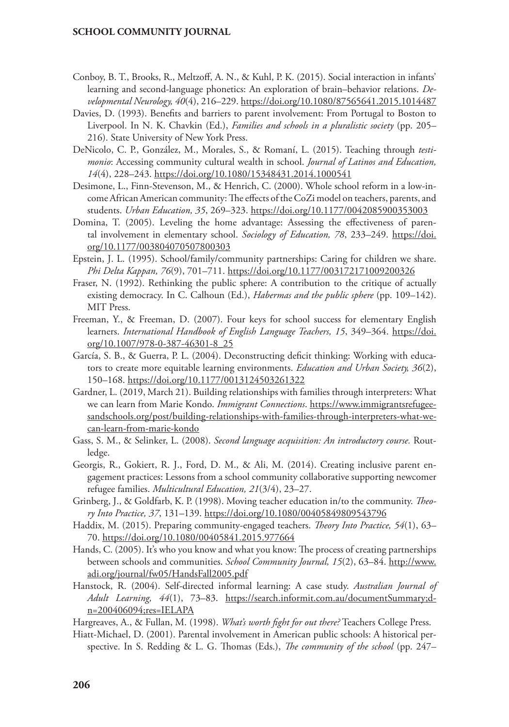- Conboy, B. T., Brooks, R., Meltzoff, A. N., & Kuhl, P. K. (2015). Social interaction in infants' learning and second-language phonetics: An exploration of brain–behavior relations. *Developmental Neurology, 40*(4), 216–229.<https://doi.org/10.1080/87565641.2015.1014487>
- Davies, D. (1993). Benefits and barriers to parent involvement: From Portugal to Boston to Liverpool. In N. K. Chavkin (Ed.), *Families and schools in a pluralistic society* (pp. 205– 216). State University of New York Press.
- DeNicolo, C. P., González, M., Morales, S., & Romaní, L. (2015). Teaching through *testimonio*: Accessing community cultural wealth in school. *Journal of Latinos and Education, 14*(4), 228–243. <https://doi.org/10.1080/15348431.2014.1000541>
- Desimone, L., Finn-Stevenson, M., & Henrich, C. (2000). Whole school reform in a low-income African American community: The effects of the CoZi model on teachers, parents, and students. *Urban Education, 35*, 269–323. [https://doi.org/10.1177/0042085900353003](https://doi.org/10.1177%2F0042085900353003)
- Domina, T. (2005). Leveling the home advantage: Assessing the effectiveness of parental involvement in elementary school. *Sociology of Education, 78*, 233–249. [https://doi.](https://doi.org/10.1177/003804070507800303) [org/10.1177/003804070507800303](https://doi.org/10.1177/003804070507800303)
- Epstein, J. L. (1995). School/family/community partnerships: Caring for children we share. *Phi Delta Kappan, 76*(9), 701–711. [https://doi.org/10.1177/003172171009200326](https://doi.org/10.1177%2F003172171009200326)
- Fraser, N. (1992). Rethinking the public sphere: A contribution to the critique of actually existing democracy. In C. Calhoun (Ed.), *Habermas and the public sphere* (pp. 109–142). MIT Press.
- Freeman, Y., & Freeman, D. (2007). Four keys for school success for elementary English learners. *International Handbook of English Language Teachers, 15*, 349–364. [https://doi.](https://doi.org/10.1007/978-0-387-46301-8_25) [org/10.1007/978-0-387-46301-8\\_25](https://doi.org/10.1007/978-0-387-46301-8_25)
- García, S. B., & Guerra, P. L. (2004). Deconstructing deficit thinking: Working with educators to create more equitable learning environments. *Education and Urban Society, 36*(2), 150–168.<https://doi.org/10.1177/0013124503261322>
- Gardner, L. (2019, March 21). Building relationships with families through interpreters: What we can learn from Marie Kondo. *Immigrant Connections*. [https://www.immigrantsrefugee](https://www.immigrantsrefugeesandschools.org/post/building-relationships-with-families-through-interpreters-what-we-can-learn-from-marie-kondo)[sandschools.org/post/building-relationships-with-families-through-interpreters-what-we](https://www.immigrantsrefugeesandschools.org/post/building-relationships-with-families-through-interpreters-what-we-can-learn-from-marie-kondo)[can-learn-from-marie-kondo](https://www.immigrantsrefugeesandschools.org/post/building-relationships-with-families-through-interpreters-what-we-can-learn-from-marie-kondo)
- Gass, S. M., & Selinker, L. (2008). *Second language acquisition: An introductory course.* Routledge.
- Georgis, R., Gokiert, R. J., Ford, D. M., & Ali, M. (2014). Creating inclusive parent engagement practices: Lessons from a school community collaborative supporting newcomer refugee families. *Multicultural Education, 21*(3/4), 23–27.
- Grinberg, J., & Goldfarb, K. P. (1998). Moving teacher education in/to the community. *Theory Into Practice, 37*, 131–139.<https://doi.org/10.1080/00405849809543796>
- Haddix, M. (2015). Preparing community-engaged teachers. *Theory Into Practice, 54*(1), 63– 70.<https://doi.org/10.1080/00405841.2015.977664>
- Hands, C. (2005). It's who you know and what you know: The process of creating partnerships between schools and communities. *School Community Journal, 15*(2), 63–84. [http://www.](http://www.adi.org/journal/fw05/HandsFall2005.pdf) [adi.org/journal/fw05/HandsFall2005.pdf](http://www.adi.org/journal/fw05/HandsFall2005.pdf)
- Hanstock, R. (2004). Self-directed informal learning: A case study. *Australian Journal of Adult Learning, 44*(1), 73–83. [https://search.informit.com.au/documentSummary;d](https://search.informit.com.au/documentSummary;dn=200406094;res=IELAPA)[n=200406094;res=IELAPA](https://search.informit.com.au/documentSummary;dn=200406094;res=IELAPA)
- Hargreaves, A., & Fullan, M. (1998). *What's worth fight for out there?* Teachers College Press.
- Hiatt-Michael, D. (2001). Parental involvement in American public schools: A historical perspective. In S. Redding & L. G. Thomas (Eds.), *The community of the school* (pp. 247–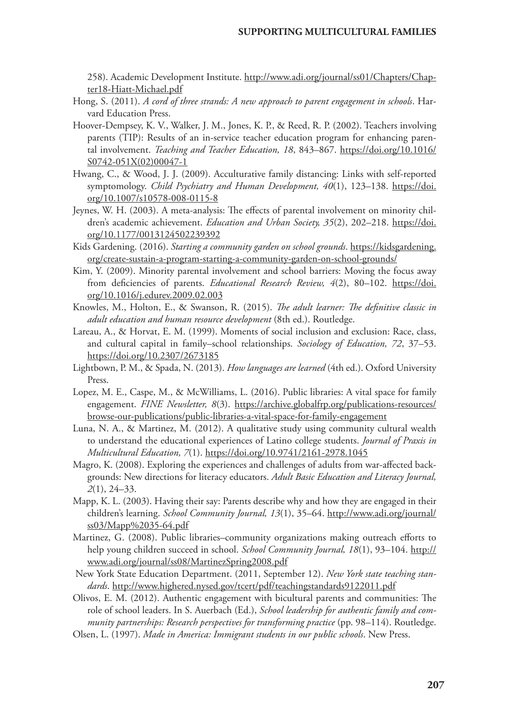258). Academic Development Institute. [http://www.adi.org/journal/ss01/Chapters/Chap](http://www.adi.org/journal/ss01/Chapters/Chapter18-Hiatt-Michael.pdf)[ter18-Hiatt-Michael.pdf](http://www.adi.org/journal/ss01/Chapters/Chapter18-Hiatt-Michael.pdf)

- Hong, S. (2011). *A cord of three strands: A new approach to parent engagement in schools*. Harvard Education Press.
- Hoover-Dempsey, K. V., Walker, J. M., Jones, K. P., & Reed, R. P. (2002). Teachers involving parents (TIP): Results of an in-service teacher education program for enhancing parental involvement. *Teaching and Teacher Education, 18*, 843–867. [https://doi.org/10.1016/](https://doi.org/10.1016/S0742-051X(02)00047-1) [S0742-051X\(02\)00047-1](https://doi.org/10.1016/S0742-051X(02)00047-1)
- Hwang, C., & Wood, J. J. (2009). Acculturative family distancing: Links with self-reported symptomology. *Child Psychiatry and Human Development*, 40(1), 123-138. [https://doi.](https://doi.org/10.1007/s10578-008-0115-8) [org/10.1007/s10578-008-0115-8](https://doi.org/10.1007/s10578-008-0115-8)
- Jeynes, W. H. (2003). A meta-analysis: The effects of parental involvement on minority children's academic achievement. *Education and Urban Society, 35*(2), 202–218. [https://doi.](https://doi.org/10.1177%2F0013124502239392) [org/10.1177/0013124502239392](https://doi.org/10.1177%2F0013124502239392)
- Kids Gardening. (2016). *Starting a community garden on school grounds*. [https://kidsgardening.](https://kidsgardening.org/create-sustain-a-program-starting-a-community-garden-on-school-grounds/) [org/create-sustain-a-program-starting-a-community-garden-on-school-grounds/](https://kidsgardening.org/create-sustain-a-program-starting-a-community-garden-on-school-grounds/)
- Kim, Y. (2009). Minority parental involvement and school barriers: Moving the focus away from deficiencies of parents. *Educational Research Review, 4*(2), 80–102. [https://doi.](https://doi.org/10.1016/j.edurev.2009.02.003) [org/10.1016/j.edurev.2009.02.003](https://doi.org/10.1016/j.edurev.2009.02.003)
- Knowles, M., Holton, E., & Swanson, R. (2015). *The adult learner: The definitive classic in adult education and human resource development* (8th ed.). Routledge.
- Lareau, A., & Horvat, E. M. (1999). Moments of social inclusion and exclusion: Race, class, and cultural capital in family–school relationships. *Sociology of Education, 72*, 37–53. <https://doi.org/10.2307/2673185>
- Lightbown, P. M., & Spada, N. (2013). *How languages are learned* (4th ed.). Oxford University Press.
- Lopez, M. E., Caspe, M., & McWilliams, L. (2016). Public libraries: A vital space for family engagement. *FINE Newsletter, 8*(3). [https://archive.globalfrp.org/publications-resources/](https://archive.globalfrp.org/publications-resources/browse-our-publications/public-libraries-a-vital-space-for-family-engagement) [browse-our-publications/public-libraries-a-vital-space-for-family-engagement](https://archive.globalfrp.org/publications-resources/browse-our-publications/public-libraries-a-vital-space-for-family-engagement)
- Luna, N. A., & Martinez, M. (2012). A qualitative study using community cultural wealth to understand the educational experiences of Latino college students. *Journal of Praxis in Multicultural Education, 7*(1).<https://doi.org/10.9741/2161-2978.1045>
- Magro, K. (2008). Exploring the experiences and challenges of adults from war-affected backgrounds: New directions for literacy educators. *Adult Basic Education and Literacy Journal, 2*(1), 24–33.
- Mapp, K. L. (2003). Having their say: Parents describe why and how they are engaged in their children's learning. *School Community Journal, 13*(1), 35–64. [http://www.adi.org/journal/](http://www.adi.org/journal/ss03/Mapp%2035-64.pdf) [ss03/Mapp%2035-64.pdf](http://www.adi.org/journal/ss03/Mapp%2035-64.pdf)
- Martinez, G. (2008). Public libraries–community organizations making outreach efforts to help young children succeed in school. *School Community Journal, 18*(1), 93–104. [http://](http://www.adi.org/journal/ss08/MartinezSpring2008.pdf) [www.adi.org/journal/ss08/MartinezSpring2008.pdf](http://www.adi.org/journal/ss08/MartinezSpring2008.pdf)
- New York State Education Department. (2011, September 12). *New York state teaching standards*.<http://www.highered.nysed.gov/tcert/pdf/teachingstandards9122011.pdf>

Olivos, E. M. (2012). Authentic engagement with bicultural parents and communities: The role of school leaders. In S. Auerbach (Ed.), *School leadership for authentic family and community partnerships: Research perspectives for transforming practice* (pp. 98–114). Routledge.

Olsen, L. (1997). *Made in America: Immigrant students in our public schools*. New Press.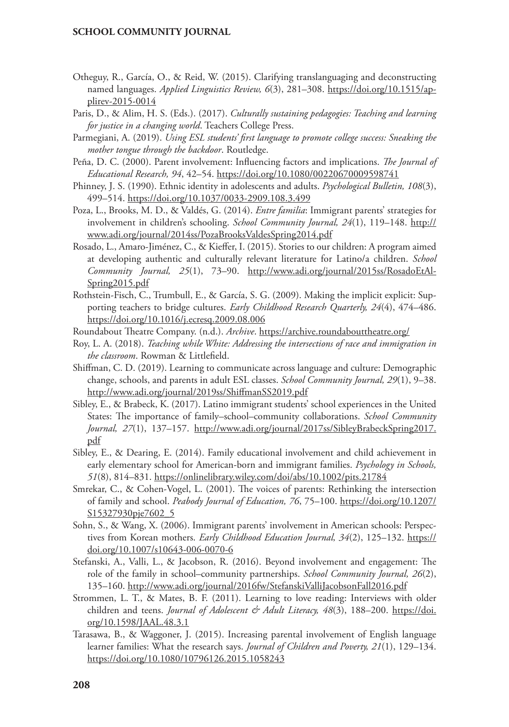- Otheguy, R., García, O., & Reid, W. (2015). Clarifying translanguaging and deconstructing named languages. *Applied Linguistics Review, 6*(3), 281–308. [https://doi.org/10.1515/ap](https://doi.org/10.1515/applirev-2015-0014)[plirev-2015-0014](https://doi.org/10.1515/applirev-2015-0014)
- Paris, D., & Alim, H. S. (Eds.). (2017). *Culturally sustaining pedagogies: Teaching and learning for justice in a changing world*. Teachers College Press.
- Parmegiani, A. (2019). *Using ESL students' first language to promote college success: Sneaking the mother tongue through the backdoor*. Routledge.
- Peña, D. C. (2000). Parent involvement: Influencing factors and implications. *The Journal of Educational Research, 94*, 42–54. <https://doi.org/10.1080/00220670009598741>
- Phinney, J. S. (1990). Ethnic identity in adolescents and adults. *Psychological Bulletin, 108*(3), 499–514.<https://doi.org/10.1037/0033-2909.108.3.499>
- Poza, L., Brooks, M. D., & Valdés, G. (2014). *Entre familia*: Immigrant parents' strategies for involvement in children's schooling. *School Community Journal, 24*(1), 119–148. [http://](http://www.adi.org/journal/2014ss/PozaBrooksValdesSpring2014.pdf) [www.adi.org/journal/2014ss/PozaBrooksValdesSpring2014.pdf](http://www.adi.org/journal/2014ss/PozaBrooksValdesSpring2014.pdf)
- Rosado, L., Amaro-Jiménez, C., & Kieffer, I. (2015). Stories to our children: A program aimed at developing authentic and culturally relevant literature for Latino/a children. *School Community Journal, 25*(1), 73–90. [http://www.adi.org/journal/2015ss/RosadoEtAl-](http://www.adi.org/journal/2015ss/RosadoEtAlSpring2015.pdf)[Spring2015.pdf](http://www.adi.org/journal/2015ss/RosadoEtAlSpring2015.pdf)
- Rothstein-Fisch, C., Trumbull, E., & García, S. G. (2009). Making the implicit explicit: Supporting teachers to bridge cultures. *Early Childhood Research Quarterly, 24*(4), 474–486. <https://doi.org/10.1016/j.ecresq.2009.08.006>
- Roundabout Theatre Company. (n.d.). *Archive*. <https://archive.roundabouttheatre.org/>
- Roy, L. A. (2018). *Teaching while White: Addressing the intersections of race and immigration in the classroom*. Rowman & Littlefield.
- Shiffman, C. D. (2019). Learning to communicate across language and culture: Demographic change, schools, and parents in adult ESL classes. *School Community Journal, 29*(1), 9–38. <http://www.adi.org/journal/2019ss/ShiffmanSS2019.pdf>
- Sibley, E., & Brabeck, K. (2017). Latino immigrant students' school experiences in the United States: The importance of family–school–community collaborations. *School Community Journal, 27*(1), 137–157. [http://www.adi.org/journal/2017ss/SibleyBrabeckSpring2017.](http://www.adi.org/journal/2017ss/SibleyBrabeckSpring2017.pdf) [pdf](http://www.adi.org/journal/2017ss/SibleyBrabeckSpring2017.pdf)
- Sibley, E., & Dearing, E. (2014). Family educational involvement and child achievement in early elementary school for American-born and immigrant families. *Psychology in Schools, 51*(8), 814–831. <https://onlinelibrary.wiley.com/doi/abs/10.1002/pits.21784>
- Smrekar, C., & Cohen-Vogel, L. (2001). The voices of parents: Rethinking the intersection of family and school. *Peabody Journal of Education, 76*, 75–100. [https://doi.org/10.1207/](https://doi.org/10.1207/S15327930pje7602_5) [S15327930pje7602\\_5](https://doi.org/10.1207/S15327930pje7602_5)
- Sohn, S., & Wang, X. (2006). Immigrant parents' involvement in American schools: Perspectives from Korean mothers. *Early Childhood Education Journal*, 34(2), 125-132. [https://](https://doi.org/10.1007/s10643-006-0070-6) [doi.org/10.1007/s10643-006-0070-6](https://doi.org/10.1007/s10643-006-0070-6)
- Stefanski, A., Valli, L., & Jacobson, R. (2016). Beyond involvement and engagement: The role of the family in school–community partnerships. *School Community Journal, 26*(2), 135–160.<http://www.adi.org/journal/2016fw/StefanskiValliJacobsonFall2016.pdf>
- Strommen, L. T., & Mates, B. F. (2011). Learning to love reading: Interviews with older children and teens. *Journal of Adolescent & Adult Literacy*, 48(3), 188-200. [https://doi.](https://doi.org/10.1598/JAAL.48.3.1) [org/10.1598/JAAL.48.3.1](https://doi.org/10.1598/JAAL.48.3.1)
- Tarasawa, B., & Waggoner, J. (2015). Increasing parental involvement of English language learner families: What the research says. *Journal of Children and Poverty, 21*(1), 129–134. <https://doi.org/10.1080/10796126.2015.1058243>